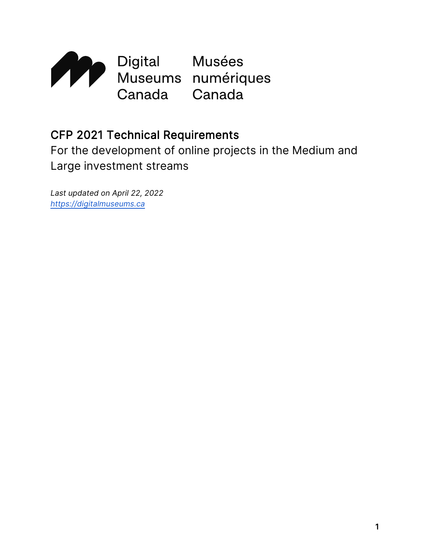

# CFP 2021 Technical Requirements

For the development of online projects in the Medium and Large investment streams

*Last updated on April 22, 2022 [https://digitalmuseums.ca](https://digitalmuseums.ca/)*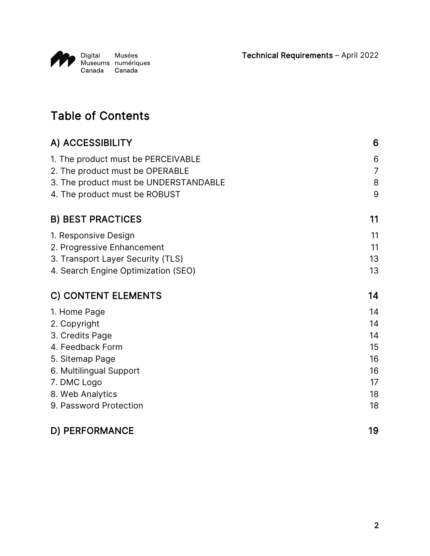Technical Requirements – April 2022



# Table of Contents

| A) ACCESSIBILITY                                                       | 6                   |
|------------------------------------------------------------------------|---------------------|
| 1. The product must be PERCEIVABLE<br>2. The product must be OPERABLE  | 6<br>$\overline{7}$ |
| 3. The product must be UNDERSTANDABLE<br>4. The product must be ROBUST | 8<br>9              |
| <b>B) BEST PRACTICES</b>                                               | 11                  |
| 1. Responsive Design                                                   | 11                  |
| 2. Progressive Enhancement                                             | 11                  |
| 3. Transport Layer Security (TLS)                                      | 13                  |
| 4. Search Engine Optimization (SEO)                                    | 13                  |
| <b>C) CONTENT ELEMENTS</b>                                             | 14                  |
| 1. Home Page                                                           | 14                  |
| 2. Copyright                                                           | 14                  |
| 3. Credits Page                                                        | 14                  |
| 4. Feedback Form                                                       | 15                  |
| 5. Sitemap Page                                                        | 16                  |
| 6. Multilingual Support                                                | 16                  |
| 7. DMC Logo                                                            | 17                  |
| 8. Web Analytics                                                       | 18                  |
| 9. Password Protection                                                 | 18                  |
| D) PERFORMANCE                                                         | 19                  |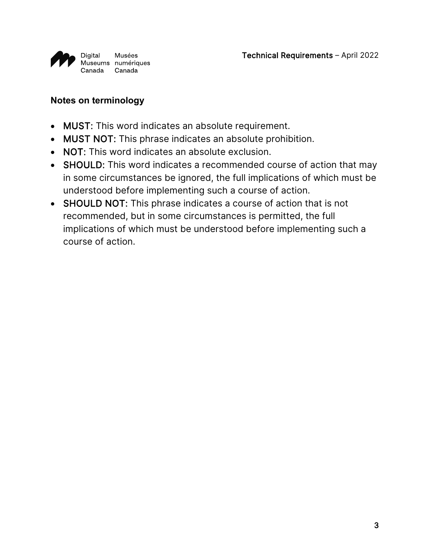

#### **Notes on terminology**

- MUST: This word indicates an absolute requirement.
- MUST NOT: This phrase indicates an absolute prohibition.
- NOT: This word indicates an absolute exclusion.
- SHOULD: This word indicates a recommended course of action that may in some circumstances be ignored, the full implications of which must be understood before implementing such a course of action.
- SHOULD NOT: This phrase indicates a course of action that is not recommended, but in some circumstances is permitted, the full implications of which must be understood before implementing such a course of action.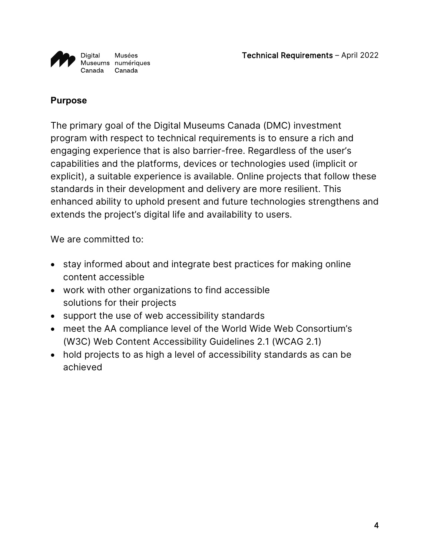

#### **Purpose**

The primary goal of the Digital Museums Canada (DMC) investment program with respect to technical requirements is to ensure a rich and engaging experience that is also barrier-free. Regardless of the user's capabilities and the platforms, devices or technologies used (implicit or explicit), a suitable experience is available. Online projects that follow these standards in their development and delivery are more resilient. This enhanced ability to uphold present and future technologies strengthens and extends the project's digital life and availability to users.

We are committed to:

- stay informed about and integrate best practices for making online content accessible
- work with other organizations to find accessible solutions for their projects
- support the use of web accessibility standards
- meet the AA compliance level of the World Wide Web Consortium's (W3C) Web Content Accessibility Guidelines 2.1 (WCAG 2.1)
- hold projects to as high a level of accessibility standards as can be achieved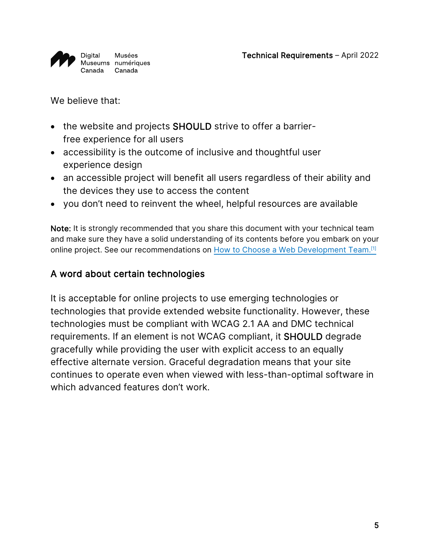

We believe that:

- the website and projects SHOULD strive to offer a barrierfree experience for all users
- accessibility is the outcome of inclusive and thoughtful user experience design
- an accessible project will benefit all users regardless of their ability and the devices they use to access the content
- you don't need to reinvent the wheel, helpful resources are available

Note: It is strongly recommended that you share this document with your technical team and make sure they have a solid understanding of its contents before you embark on your online project. See our recommendations on [How to Choose a Web Development Team.](https://www.digitalmuseums.ca/help-and-resources/toolbox/resources/sous-page-toolbox/)<sup>[\[1\]](#page-18-1)</sup>

#### A word about certain technologies

It is acceptable for online projects to use emerging technologies or technologies that provide extended website functionality. However, these technologies must be compliant with WCAG 2.1 AA and DMC technical requirements. If an element is not WCAG compliant, it SHOULD degrade gracefully while providing the user with explicit access to an equally effective alternate version. Graceful degradation means that your site continues to operate even when viewed with less-than-optimal software in which advanced features don't work.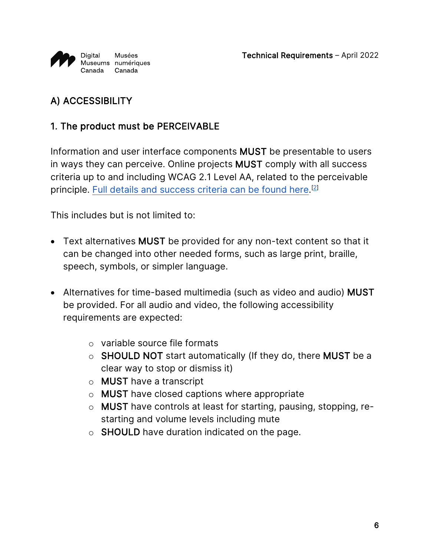

# <span id="page-5-0"></span>A) ACCESSIBILITY

### <span id="page-5-1"></span>1. The product must be PERCEIVABLE

Information and user interface components MUST be presentable to users in ways they can perceive. Online projects MUST comply with all success criteria up to and including WCAG 2.1 Level AA, related to the perceivable principle. [Full details and success criteria can be found here.](http://www.w3.org/TR/2008/REC-WCAG20-20081211/#perceivable)<sup>[\[2\]](#page-18-2)</sup>

- Text alternatives MUST be provided for any non-text content so that it can be changed into other needed forms, such as large print, braille, speech, symbols, or simpler language.
- Alternatives for time-based multimedia (such as video and audio) MUST be provided. For all audio and video, the following accessibility requirements are expected:
	- o variable source file formats
	- o SHOULD NOT start automatically (If they do, there MUST be a clear way to stop or dismiss it)
	- o MUST have a transcript
	- o MUST have closed captions where appropriate
	- o MUST have controls at least for starting, pausing, stopping, restarting and volume levels including mute
	- o SHOULD have duration indicated on the page.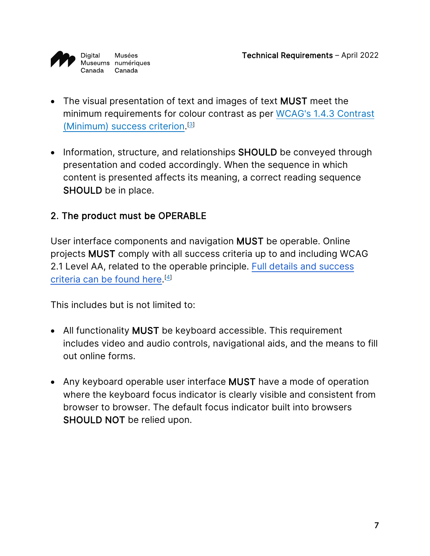

- The visual presentation of text and images of text MUST meet the minimum requirements for colour contrast as per [WCAG's 1.4.3 Contrast](https://www.w3.org/TR/UNDERSTANDING-WCAG20/visual-audio-contrast-contrast.html)  [\(Minimum\) success criterion.](https://www.w3.org/TR/UNDERSTANDING-WCAG20/visual-audio-contrast-contrast.html)<sup>[\[3\]](#page-18-3)</sup>
- Information, structure, and relationships **SHOULD** be conveyed through presentation and coded accordingly. When the sequence in which content is presented affects its meaning, a correct reading sequence SHOULD be in place.

### <span id="page-6-0"></span>2. The product must be OPERABLE

User interface components and navigation MUST be operable. Online projects MUST comply with all success criteria up to and including WCAG 2.1 Level AA, related to the operable principle. [Full details and success](http://www.w3.org/TR/2008/REC-WCAG20-20081211/#operable)  [criteria can be found here.](http://www.w3.org/TR/2008/REC-WCAG20-20081211/#operable) [\[4\]](#page-18-4)

- All functionality MUST be keyboard accessible. This requirement includes video and audio controls, navigational aids, and the means to fill out online forms.
- Any keyboard operable user interface MUST have a mode of operation where the keyboard focus indicator is clearly visible and consistent from browser to browser. The default focus indicator built into browsers SHOULD NOT be relied upon.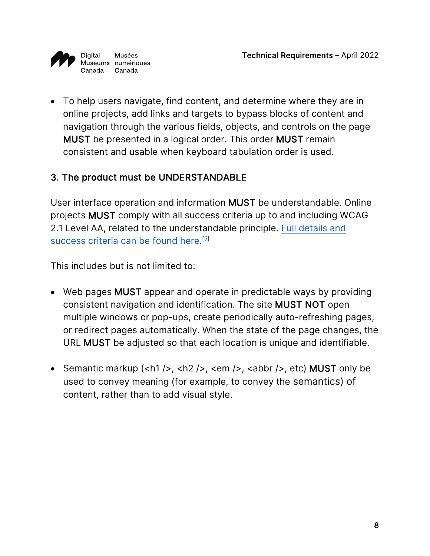

• To help users navigate, find content, and determine where they are in online projects, add links and targets to bypass blocks of content and navigation through the various fields, objects, and controls on the page MUST be presented in a logical order. This order MUST remain consistent and usable when keyboard tabulation order is used.

### <span id="page-7-0"></span>3. The product must be UNDERSTANDABLE

User interface operation and information MUST be understandable. Online projects MUST comply with all success criteria up to and including WCAG 2.1 Level AA, related to the understandable principle. [Full details and](http://www.w3.org/TR/2008/REC-WCAG20-20081211/#understandable)  [success criteria can be found here.](http://www.w3.org/TR/2008/REC-WCAG20-20081211/#understandable) [\[5\]](#page-18-2)

- Web pages MUST appear and operate in predictable ways by providing consistent navigation and identification. The site MUST NOT open multiple windows or pop-ups, create periodically auto-refreshing pages, or redirect pages automatically. When the state of the page changes, the URL MUST be adjusted so that each location is unique and identifiable.
- Semantic markup  $(\text{ch1 } / >, \text{ch2 } / >, \text{sem}/ >, \text{ch4})$ ,  $(\text{ch1 } / >, \text{eth})$  MUST only be used to convey meaning (for example, to convey the semantics) of content, rather than to add visual style.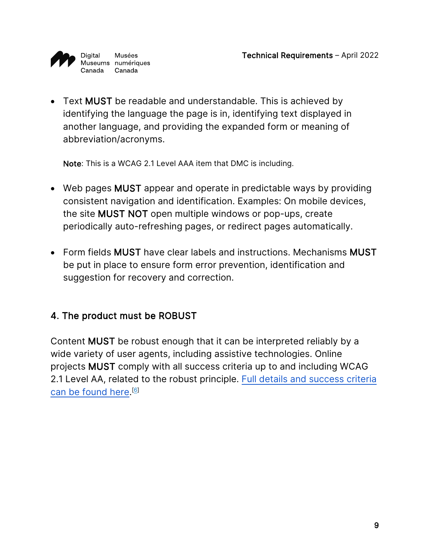

• Text MUST be readable and understandable. This is achieved by identifying the language the page is in, identifying text displayed in another language, and providing the expanded form or meaning of abbreviation/acronyms.

Note: This is a WCAG 2.1 Level AAA item that DMC is including.

- Web pages MUST appear and operate in predictable ways by providing consistent navigation and identification. Examples: On mobile devices, the site MUST NOT open multiple windows or pop-ups, create periodically auto-refreshing pages, or redirect pages automatically.
- Form fields MUST have clear labels and instructions. Mechanisms MUST be put in place to ensure form error prevention, identification and suggestion for recovery and correction.

### <span id="page-8-0"></span>4. The product must be ROBUST

Content MUST be robust enough that it can be interpreted reliably by a wide variety of user agents, including assistive technologies. Online projects MUST comply with all success criteria up to and including WCAG 2.1 Level AA, related to the robust principle. [Full details and success criteria](http://www.w3.org/TR/2008/REC-WCAG20-20081211/#robust)  [can be found here.](http://www.w3.org/TR/2008/REC-WCAG20-20081211/#robust)<sup>[\[6\]](#page-18-5)</sup>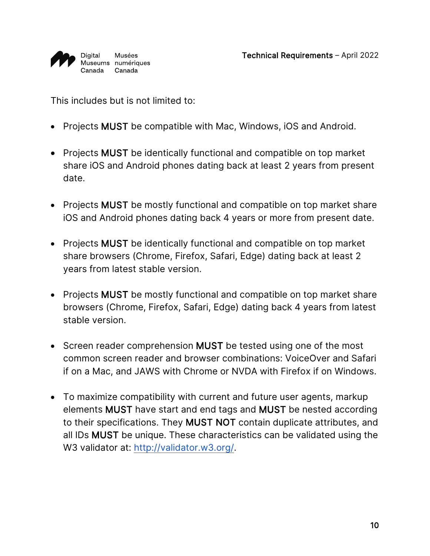

- Projects MUST be compatible with Mac, Windows, iOS and Android.
- Projects MUST be identically functional and compatible on top market share iOS and Android phones dating back at least 2 years from present date.
- Projects MUST be mostly functional and compatible on top market share iOS and Android phones dating back 4 years or more from present date.
- Projects MUST be identically functional and compatible on top market share browsers (Chrome, Firefox, Safari, Edge) dating back at least 2 years from latest stable version.
- Projects MUST be mostly functional and compatible on top market share browsers (Chrome, Firefox, Safari, Edge) dating back 4 years from latest stable version.
- Screen reader comprehension MUST be tested using one of the most common screen reader and browser combinations: VoiceOver and Safari if on a Mac, and JAWS with Chrome or NVDA with Firefox if on Windows.
- To maximize compatibility with current and future user agents, markup elements MUST have start and end tags and MUST be nested according to their specifications. They MUST NOT contain duplicate attributes, and all IDs MUST be unique. These characteristics can be validated using the W3 validator at: [http://validator.w3.org/.](http://validator.w3.org/)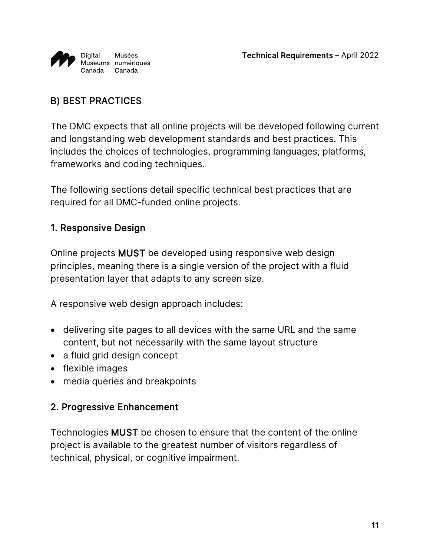

# <span id="page-10-0"></span>B) BEST PRACTICES

The DMC expects that all online projects will be developed following current and longstanding web development standards and best practices. This includes the choices of technologies, programming languages, platforms, frameworks and coding techniques.

The following sections detail specific technical best practices that are required for all DMC-funded online projects.

#### <span id="page-10-1"></span>1. Responsive Design

Online projects MUST be developed using responsive web design principles, meaning there is a single version of the project with a fluid presentation layer that adapts to any screen size.

A responsive web design approach includes:

- delivering site pages to all devices with the same URL and the same content, but not necessarily with the same layout structure
- a fluid grid design concept
- flexible images
- media queries and breakpoints

#### <span id="page-10-2"></span>2. Progressive Enhancement

Technologies MUST be chosen to ensure that the content of the online project is available to the greatest number of visitors regardless of technical, physical, or cognitive impairment.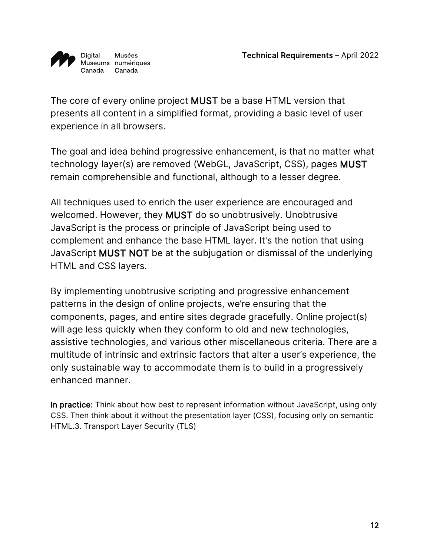

The core of every online project MUST be a base HTML version that presents all content in a simplified format, providing a basic level of user experience in all browsers.

The goal and idea behind progressive enhancement, is that no matter what technology layer(s) are removed (WebGL, JavaScript, CSS), pages MUST remain comprehensible and functional, although to a lesser degree.

All techniques used to enrich the user experience are encouraged and welcomed. However, they MUST do so unobtrusively. Unobtrusive JavaScript is the process or principle of JavaScript being used to complement and enhance the base HTML layer. It's the notion that using JavaScript MUST NOT be at the subjugation or dismissal of the underlying HTML and CSS layers.

By implementing unobtrusive scripting and progressive enhancement patterns in the design of online projects, we're ensuring that the components, pages, and entire sites degrade gracefully. Online project(s) will age less quickly when they conform to old and new technologies, assistive technologies, and various other miscellaneous criteria. There are a multitude of intrinsic and extrinsic factors that alter a user's experience, the only sustainable way to accommodate them is to build in a progressively enhanced manner.

In practice: Think about how best to represent information without JavaScript, using only CSS. Then think about it without the presentation layer (CSS), focusing only on semantic HTML.3. Transport Layer Security (TLS)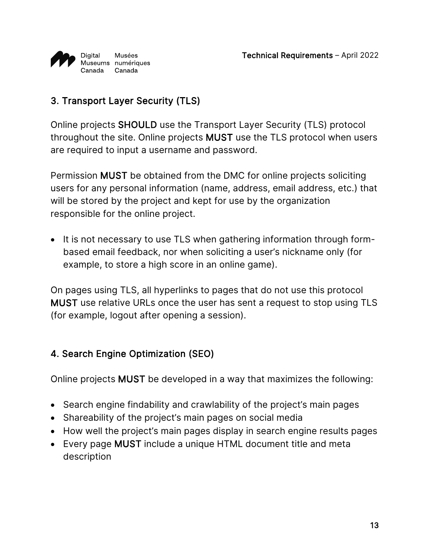

# <span id="page-12-0"></span>3. Transport Layer Security (TLS)

Online projects SHOULD use the Transport Layer Security (TLS) protocol throughout the site. Online projects MUST use the TLS protocol when users are required to input a username and password.

Permission MUST be obtained from the DMC for online projects soliciting users for any personal information (name, address, email address, etc.) that will be stored by the project and kept for use by the organization responsible for the online project.

• It is not necessary to use TLS when gathering information through formbased email feedback, nor when soliciting a user's nickname only (for example, to store a high score in an online game).

On pages using TLS, all hyperlinks to pages that do not use this protocol MUST use relative URLs once the user has sent a request to stop using TLS (for example, logout after opening a session).

### <span id="page-12-1"></span>4. Search Engine Optimization (SEO)

Online projects MUST be developed in a way that maximizes the following:

- Search engine findability and crawlability of the project's main pages
- Shareability of the project's main pages on social media
- How well the project's main pages display in search engine results pages
- Every page MUST include a unique HTML document title and meta description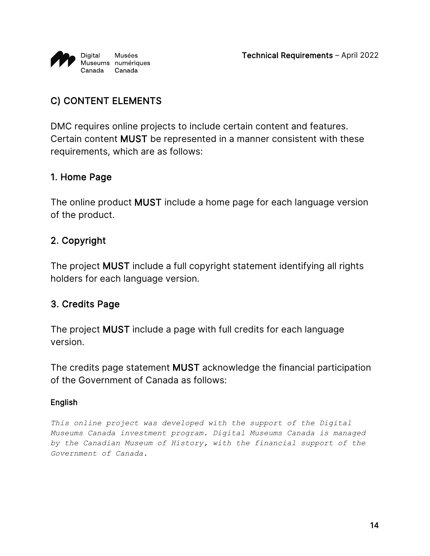

# <span id="page-13-0"></span>C) CONTENT ELEMENTS

DMC requires online projects to include certain content and features. Certain content MUST be represented in a manner consistent with these requirements, which are as follows:

#### <span id="page-13-1"></span>1. Home Page

The online product MUST include a home page for each language version of the product.

#### <span id="page-13-2"></span>2. Copyright

The project MUST include a full copyright statement identifying all rights holders for each language version.

#### <span id="page-13-3"></span>3. Credits Page

The project MUST include a page with full credits for each language version.

The credits page statement MUST acknowledge the financial participation of the Government of Canada as follows:

#### English

*This online project was developed with the support of the Digital Museums Canada investment program. Digital Museums Canada is managed by the Canadian Museum of History, with the financial support of the Government of Canada.*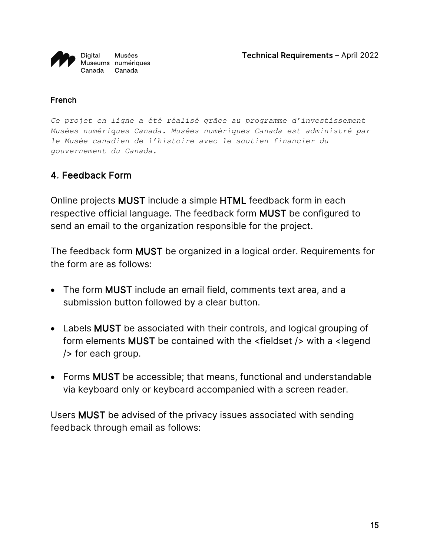

#### French

*Ce projet en ligne a été réalisé grâce au programme d'investissement Musées numériques Canada. Musées numériques Canada est administré par le Musée canadien de l'histoire avec le soutien financier du gouvernement du Canada.*

#### <span id="page-14-0"></span>4. Feedback Form

Online projects MUST include a simple HTML feedback form in each respective official language. The feedback form MUST be configured to send an email to the organization responsible for the project.

The feedback form MUST be organized in a logical order. Requirements for the form are as follows:

- The form MUST include an email field, comments text area, and a submission button followed by a clear button.
- Labels MUST be associated with their controls, and logical grouping of form elements MUST be contained with the <fieldset /> with a <legend /> for each group.
- Forms MUST be accessible; that means, functional and understandable via keyboard only or keyboard accompanied with a screen reader.

Users MUST be advised of the privacy issues associated with sending feedback through email as follows: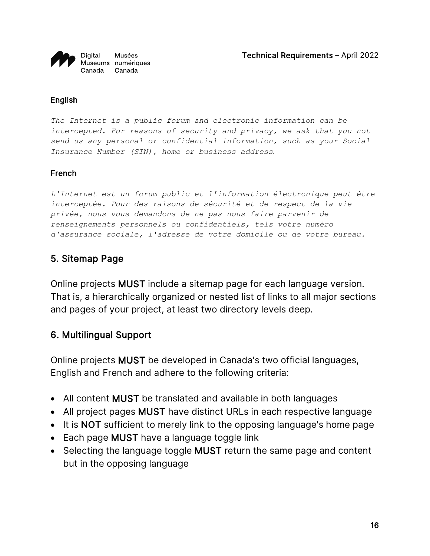

#### English

*The Internet is a public forum and electronic information can be intercepted. For reasons of security and privacy, we ask that you not send us any personal or confidential information, such as your Social Insurance Number (SIN), home or business address.* 

#### French

*L'Internet est un forum public et l'information électronique peut être interceptée. Pour des raisons de sécurité et de respect de la vie privée, nous vous demandons de ne pas nous faire parvenir de renseignements personnels ou confidentiels, tels votre numéro d'assurance sociale, l'adresse de votre domicile ou de votre bureau.*

#### <span id="page-15-0"></span>5. Sitemap Page

Online projects MUST include a sitemap page for each language version. That is, a hierarchically organized or nested list of links to all major sections and pages of your project, at least two directory levels deep.

#### <span id="page-15-1"></span>6. Multilingual Support

Online projects MUST be developed in Canada's two official languages, English and French and adhere to the following criteria:

- All content MUST be translated and available in both languages
- All project pages MUST have distinct URLs in each respective language
- It is NOT sufficient to merely link to the opposing language's home page
- Each page MUST have a language toggle link
- Selecting the language toggle **MUST** return the same page and content but in the opposing language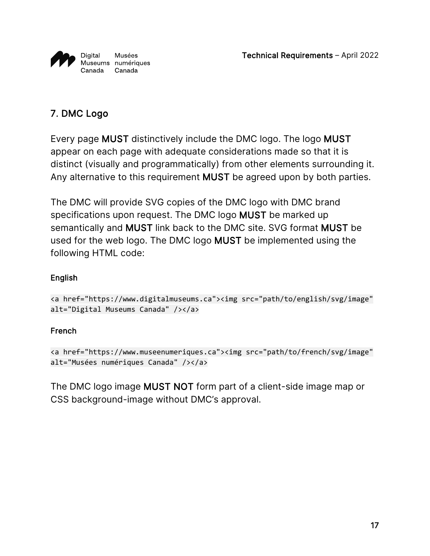

### <span id="page-16-0"></span>7. DMC Logo

Every page MUST distinctively include the DMC logo. The logo MUST appear on each page with adequate considerations made so that it is distinct (visually and programmatically) from other elements surrounding it. Any alternative to this requirement MUST be agreed upon by both parties.

The DMC will provide SVG copies of the DMC logo with DMC brand specifications upon request. The DMC logo MUST be marked up semantically and MUST link back to the DMC site. SVG format MUST be used for the web logo. The DMC logo MUST be implemented using the following HTML code:

#### English

```
<a href="https://www.digitalmuseums.ca"><img src="path/to/english/svg/image" 
alt="Digital Museums Canada" /></a>
```
#### French

```
<a href="https://www.museenumeriques.ca"><img src="path/to/french/svg/image" 
alt="Musées numériques Canada" /></a>
```
The DMC logo image MUST NOT form part of a client-side image map or CSS background-image without DMC's approval.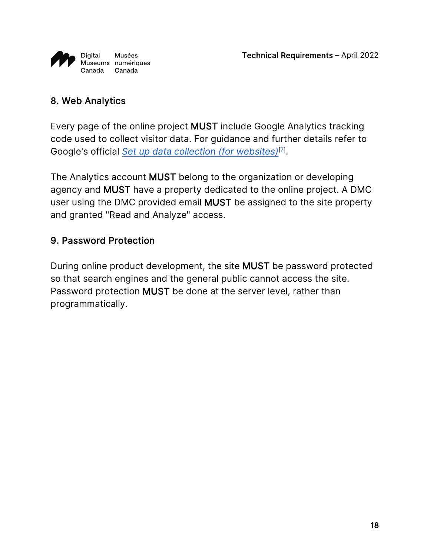

### <span id="page-17-0"></span>8. Web Analytics

Every page of the online project MUST include Google Analytics tracking code used to collect visitor data. For guidance and further details refer to Google's official *[Set up data collection \(for websites\)](https://support.google.com/analytics/answer/9304153?hl=en#add-tag)*[\[7\]](#page-18-6) .

The Analytics account MUST belong to the organization or developing agency and MUST have a property dedicated to the online project. A DMC user using the DMC provided email MUST be assigned to the site property and granted "Read and Analyze" access.

#### <span id="page-17-1"></span>9. Password Protection

During online product development, the site MUST be password protected so that search engines and the general public cannot access the site. Password protection MUST be done at the server level, rather than programmatically.